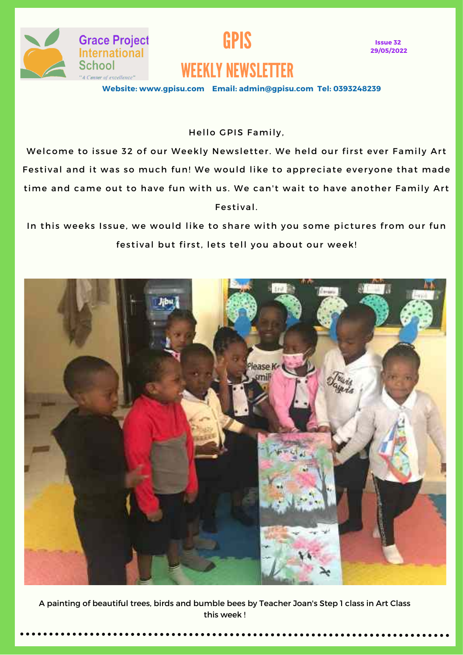

School

n<mark>ter</mark> of excellence"

#### **Issue 32 29/05/2022**

## WEEKLY NEWSLETTER

GPIS

**Website: www.gpisu.com Email: admin@gpisu.com Tel: 0393248239**

Hello GPIS Family,

Welcome to issue 32 of our Weekly Newsletter. We held our first ever Family Art Festival and it was so much fun! We would like to appreciate everyone that made time and came out to have fun with us. We can't wait to have another Family Art Festival.

In this weeks Issue, we would like to share with you some pictures from our fun festival but first, lets tell you about our week!



A painting of beautiful trees, birds and bumble bees by Teacher Joan's Step 1 class in Art Class this week !

. . . . . . . . . .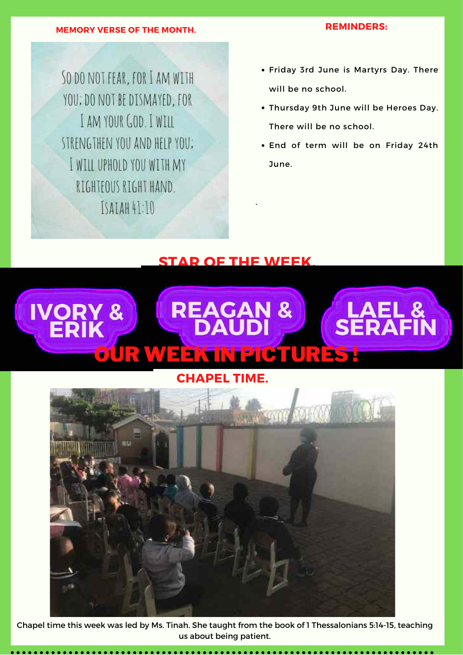#### **MEMORY VERSE OF THE MONTH. EMORY REMINDERS:**

SO DO NOT FEAR, FOR I AM WITH YOU: DO NOT BE DISMAYED, FOR I AM YOUR GOD. I WILL STRENGTHEN YOU AND HELP YOU; I WILL UPHOLD YOU WITH MY RIGHTEOUS RIGHT HAND. **ISATAH 41:10** 

- Friday 3rd June is Martyrs Day. There will be no school.
- Thursday 9th June will be Heroes Day. There will be no school.
- End of term will be on Friday 24th June.

#### **STAR OF THE WEEK.**

.



### **CHAPEL TIME.**



Chapel time this week was led by Ms. Tinah. She taught from the book of 1 Thessalonians 5:14-15, teaching us about being patient.

 $$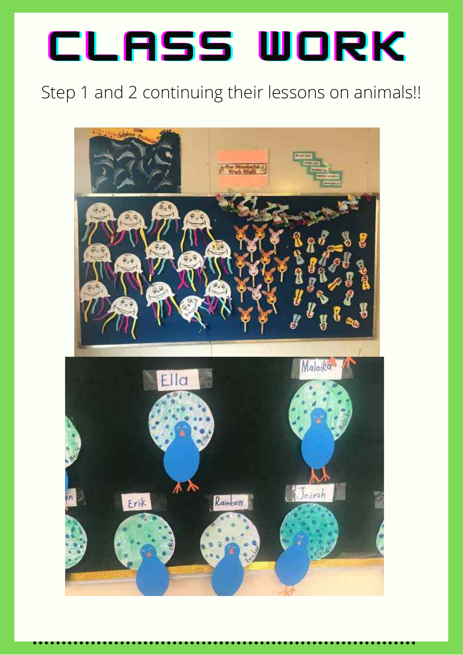# **CCLLAASSSS WWOORRKK**

# Step 1 and 2 continuing their lessons on animals!!

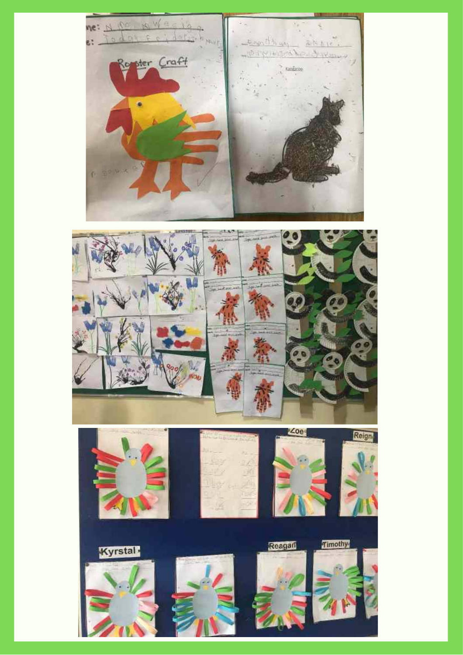



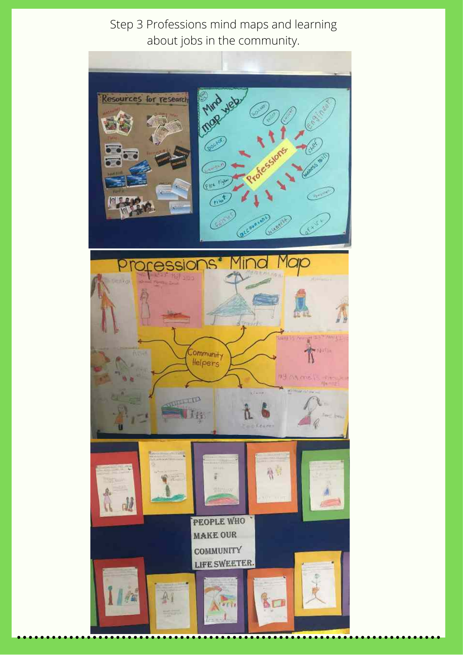Step 3 Professions mind maps and learning about jobs in the community.



LIFE SWEETER

钡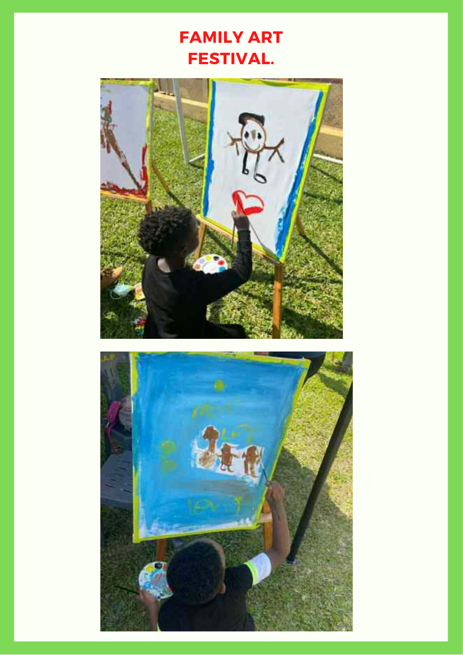# **FAMILY ART FESTIVAL.**



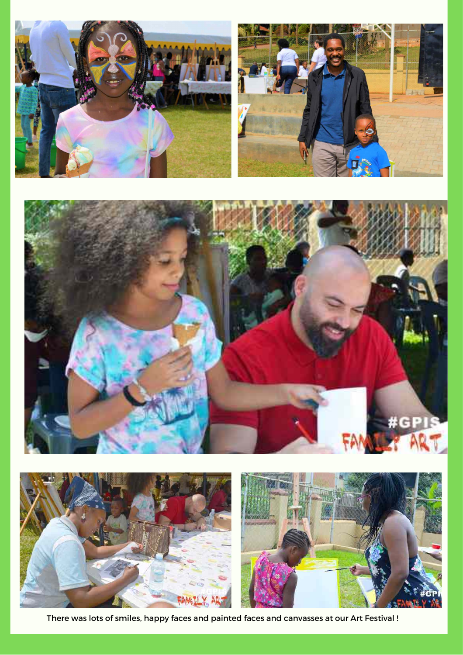





There was lots of smiles, happy faces and painted faces and canvasses at our Art Festival !